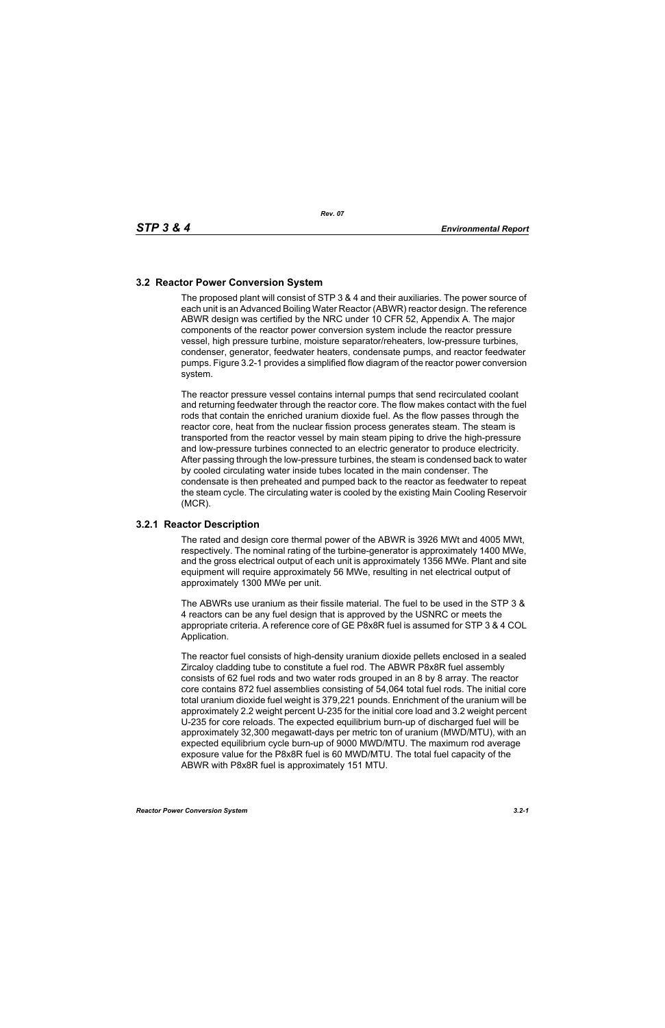## **3.2 Reactor Power Conversion System**

The proposed plant will consist of STP 3 & 4 and their auxiliaries. The power source of each unit is an Advanced Boiling Water Reactor (ABWR) reactor design. The reference ABWR design was certified by the NRC under 10 CFR 52, Appendix A. The major components of the reactor power conversion system include the reactor pressure vessel, high pressure turbine, moisture separator/reheaters, low-pressure turbines, condenser, generator, feedwater heaters, condensate pumps, and reactor feedwater pumps. Figure 3.2-1 provides a simplified flow diagram of the reactor power conversion system.

The reactor pressure vessel contains internal pumps that send recirculated coolant and returning feedwater through the reactor core. The flow makes contact with the fuel rods that contain the enriched uranium dioxide fuel. As the flow passes through the reactor core, heat from the nuclear fission process generates steam. The steam is transported from the reactor vessel by main steam piping to drive the high-pressure and low-pressure turbines connected to an electric generator to produce electricity. After passing through the low-pressure turbines, the steam is condensed back to water by cooled circulating water inside tubes located in the main condenser. The condensate is then preheated and pumped back to the reactor as feedwater to repeat the steam cycle. The circulating water is cooled by the existing Main Cooling Reservoir (MCR).

## **3.2.1 Reactor Description**

The rated and design core thermal power of the ABWR is 3926 MWt and 4005 MWt, respectively. The nominal rating of the turbine-generator is approximately 1400 MWe, and the gross electrical output of each unit is approximately 1356 MWe. Plant and site equipment will require approximately 56 MWe, resulting in net electrical output of approximately 1300 MWe per unit.

The ABWRs use uranium as their fissile material. The fuel to be used in the STP 3 & 4 reactors can be any fuel design that is approved by the USNRC or meets the appropriate criteria. A reference core of GE P8x8R fuel is assumed for STP 3 & 4 COL Application.

The reactor fuel consists of high-density uranium dioxide pellets enclosed in a sealed Zircaloy cladding tube to constitute a fuel rod. The ABWR P8x8R fuel assembly consists of 62 fuel rods and two water rods grouped in an 8 by 8 array. The reactor core contains 872 fuel assemblies consisting of 54,064 total fuel rods. The initial core total uranium dioxide fuel weight is 379,221 pounds. Enrichment of the uranium will be approximately 2.2 weight percent U-235 for the initial core load and 3.2 weight percent U-235 for core reloads. The expected equilibrium burn-up of discharged fuel will be approximately 32,300 megawatt-days per metric ton of uranium (MWD/MTU), with an expected equilibrium cycle burn-up of 9000 MWD/MTU. The maximum rod average exposure value for the P8x8R fuel is 60 MWD/MTU. The total fuel capacity of the ABWR with P8x8R fuel is approximately 151 MTU.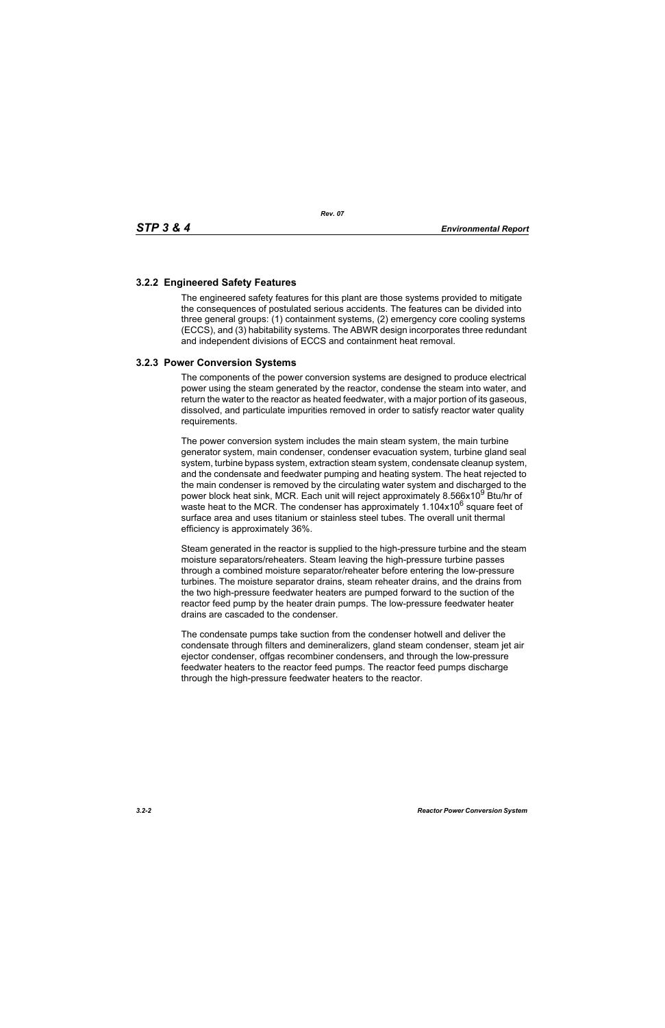## **3.2.2 Engineered Safety Features**

The engineered safety features for this plant are those systems provided to mitigate the consequences of postulated serious accidents. The features can be divided into three general groups: (1) containment systems, (2) emergency core cooling systems (ECCS), and (3) habitability systems. The ABWR design incorporates three redundant and independent divisions of ECCS and containment heat removal.

## **3.2.3 Power Conversion Systems**

The components of the power conversion systems are designed to produce electrical power using the steam generated by the reactor, condense the steam into water, and return the water to the reactor as heated feedwater, with a major portion of its gaseous, dissolved, and particulate impurities removed in order to satisfy reactor water quality requirements.

The power conversion system includes the main steam system, the main turbine generator system, main condenser, condenser evacuation system, turbine gland seal system, turbine bypass system, extraction steam system, condensate cleanup system, and the condensate and feedwater pumping and heating system. The heat rejected to the main condenser is removed by the circulating water system and discharged to the power block heat sink, MCR. Each unit will reject approximately 8.566x10<sup>9</sup> Btu/hr of waste heat to the MCR. The condenser has approximately  $1.104x10^6$  square feet of surface area and uses titanium or stainless steel tubes. The overall unit thermal efficiency is approximately 36%.

Steam generated in the reactor is supplied to the high-pressure turbine and the steam moisture separators/reheaters. Steam leaving the high-pressure turbine passes through a combined moisture separator/reheater before entering the low-pressure turbines. The moisture separator drains, steam reheater drains, and the drains from the two high-pressure feedwater heaters are pumped forward to the suction of the reactor feed pump by the heater drain pumps. The low-pressure feedwater heater drains are cascaded to the condenser.

The condensate pumps take suction from the condenser hotwell and deliver the condensate through filters and demineralizers, gland steam condenser, steam jet air ejector condenser, offgas recombiner condensers, and through the low-pressure feedwater heaters to the reactor feed pumps. The reactor feed pumps discharge through the high-pressure feedwater heaters to the reactor.